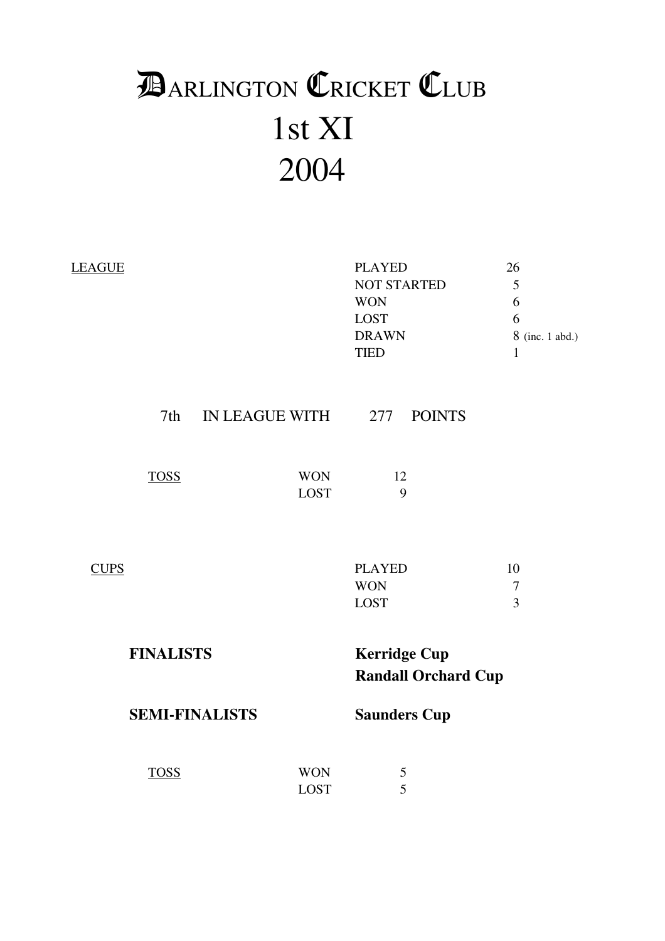# 1st XI 2004 **DARLINGTON CRICKET CLUB**

| <b>LEAGUE</b> |                  |                        |                           | <b>PLAYED</b><br><b>NOT STARTED</b><br><b>WON</b><br><b>LOST</b><br><b>DRAWN</b><br><b>TIED</b> |                            | 26<br>5<br>6<br>6<br>8 (inc. 1 abd.)<br>$\mathbf{1}$ |
|---------------|------------------|------------------------|---------------------------|-------------------------------------------------------------------------------------------------|----------------------------|------------------------------------------------------|
|               |                  | 7th IN LEAGUE WITH 277 |                           |                                                                                                 | <b>POINTS</b>              |                                                      |
|               | <b>TOSS</b>      |                        | <b>WON</b><br><b>LOST</b> | 12                                                                                              | 9                          |                                                      |
| <b>CUPS</b>   |                  |                        |                           | <b>PLAYED</b><br><b>WON</b><br><b>LOST</b>                                                      |                            | 10<br>$\tau$<br>$\overline{3}$                       |
|               | <b>FINALISTS</b> |                        |                           | <b>Kerridge Cup</b>                                                                             | <b>Randall Orchard Cup</b> |                                                      |
|               |                  | <b>SEMI-FINALISTS</b>  |                           |                                                                                                 | <b>Saunders Cup</b>        |                                                      |
|               | <b>TOSS</b>      |                        | <b>WON</b><br><b>LOST</b> |                                                                                                 | 5<br>5                     |                                                      |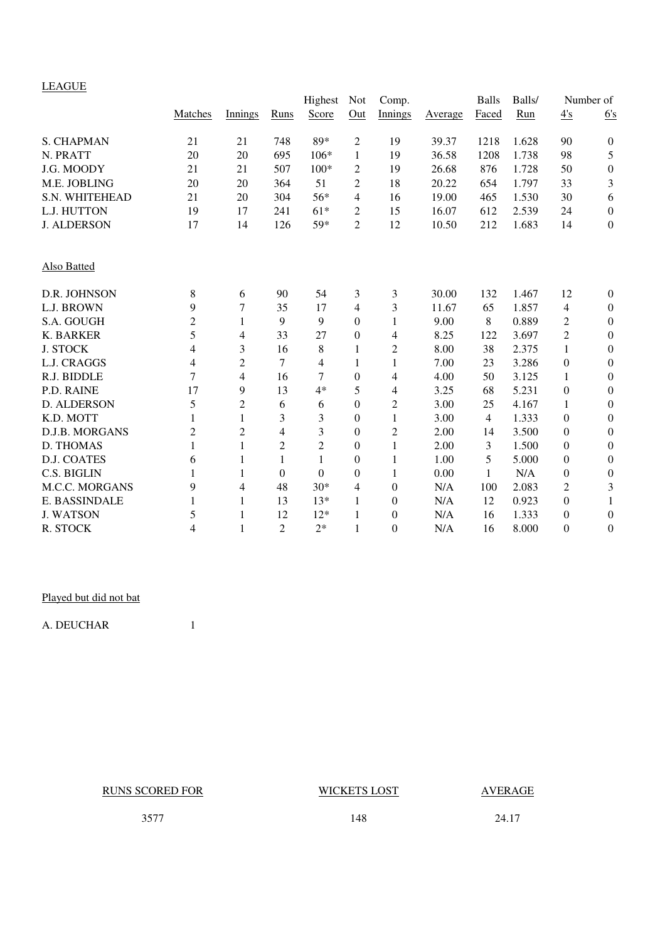### LEAGUE

|                    |                |                |                | Highest          | <b>Not</b>     | Comp.            |                | <b>Balls</b> | Balls/ |                  | Number of        |
|--------------------|----------------|----------------|----------------|------------------|----------------|------------------|----------------|--------------|--------|------------------|------------------|
|                    | Matches        | Innings        | <b>Runs</b>    | Score            | Out            | Innings          | <b>Average</b> | Faced        | Run    | 4's              | 6's              |
| <b>S. CHAPMAN</b>  | 21             | 21             | 748            | 89*              | $\overline{2}$ | 19               | 39.37          | 1218         | 1.628  | 90               | $\boldsymbol{0}$ |
| N. PRATT           | 20             | 20             | 695            | $106*$           | 1              | 19               | 36.58          | 1208         | 1.738  | 98               | 5                |
| J.G. MOODY         | 21             | 21             | 507            | $100*$           | 2              | 19               | 26.68          | 876          | 1.728  | 50               | $\boldsymbol{0}$ |
| M.E. JOBLING       | 20             | 20             | 364            | 51               | $\overline{2}$ | 18               | 20.22          | 654          | 1.797  | 33               | 3                |
| S.N. WHITEHEAD     | 21             | 20             | 304            | 56*              | 4              | 16               | 19.00          | 465          | 1.530  | 30               | 6                |
| L.J. HUTTON        | 19             | 17             | 241            | $61*$            | 2              | 15               | 16.07          | 612          | 2.539  | 24               | $\boldsymbol{0}$ |
| <b>J. ALDERSON</b> | 17             | 14             | 126            | 59*              | $\overline{2}$ | 12               | 10.50          | 212          | 1.683  | 14               | $\boldsymbol{0}$ |
| Also Batted        |                |                |                |                  |                |                  |                |              |        |                  |                  |
| D.R. JOHNSON       | 8              | 6              | 90             | 54               | 3              | 3                | 30.00          | 132          | 1.467  | 12               | $\boldsymbol{0}$ |
| L.J. BROWN         | 9              | 7              | 35             | 17               | $\overline{4}$ | 3                | 11.67          | 65           | 1.857  | 4                | $\boldsymbol{0}$ |
| S.A. GOUGH         | $\overline{2}$ | 1              | 9              | 9                | $\Omega$       | 1                | 9.00           | 8            | 0.889  | $\overline{c}$   | $\boldsymbol{0}$ |
| K. BARKER          | 5              | 4              | 33             | 27               | $\overline{0}$ | 4                | 8.25           | 122          | 3.697  | $\overline{c}$   | $\mathbf{0}$     |
| <b>J. STOCK</b>    | $\overline{4}$ | 3              | 16             | 8                | 1              | $\mathbf{2}$     | 8.00           | 38           | 2.375  | $\mathbf{1}$     | $\mathbf{0}$     |
| L.J. CRAGGS        | 4              | $\overline{c}$ | 7              | 4                | 1              | 1                | 7.00           | 23           | 3.286  | $\boldsymbol{0}$ | $\boldsymbol{0}$ |
| R.J. BIDDLE        | 7              | 4              | 16             | 7                | $\overline{0}$ | 4                | 4.00           | 50           | 3.125  | 1                | $\boldsymbol{0}$ |
| P.D. RAINE         | 17             | 9              | 13             | $4*$             | 5              | 4                | 3.25           | 68           | 5.231  | $\boldsymbol{0}$ | $\boldsymbol{0}$ |
| D. ALDERSON        | 5              | $\overline{2}$ | 6              | 6                | $\overline{0}$ | 2                | 3.00           | 25           | 4.167  | 1                | $\boldsymbol{0}$ |
| K.D. MOTT          | 1              | 1              | 3              | 3                | $\theta$       | 1                | 3.00           | 4            | 1.333  | $\boldsymbol{0}$ | $\mathbf{0}$     |
| D.J.B. MORGANS     | $\overline{2}$ | $\overline{2}$ | $\overline{4}$ | 3                | $\overline{0}$ | $\mathfrak{2}$   | 2.00           | 14           | 3.500  | $\mathbf{0}$     | $\mathbf{0}$     |
| D. THOMAS          | 1              | 1              | $\overline{2}$ | $\overline{2}$   | $\overline{0}$ | $\mathbf{1}$     | 2.00           | 3            | 1.500  | $\boldsymbol{0}$ | $\boldsymbol{0}$ |
| <b>D.J. COATES</b> | 6              | 1              | 1              | $\mathbf{1}$     | $\overline{0}$ | 1                | 1.00           | 5            | 5.000  | $\boldsymbol{0}$ | $\boldsymbol{0}$ |
| C.S. BIGLIN        | 1              | 1              | $\Omega$       | $\boldsymbol{0}$ | $\theta$       | 1                | 0.00           | 1            | N/A    | $\boldsymbol{0}$ | $\boldsymbol{0}$ |
| M.C.C. MORGANS     | 9              | 4              | 48             | $30*$            | $\overline{4}$ | $\boldsymbol{0}$ | N/A            | 100          | 2.083  | $\overline{2}$   | 3                |
| E. BASSINDALE      | 1              | 1              | 13             | $13*$            | 1              | $\boldsymbol{0}$ | N/A            | 12           | 0.923  | $\boldsymbol{0}$ | 1                |
| <b>J. WATSON</b>   | 5              | 1              | 12             | $12*$            | 1              | $\theta$         | N/A            | 16           | 1.333  | $\boldsymbol{0}$ | $\boldsymbol{0}$ |
| R. STOCK           | $\overline{4}$ | 1              | $\overline{2}$ | $2*$             | 1              | $\Omega$         | N/A            | 16           | 8.000  | $\overline{0}$   | $\boldsymbol{0}$ |

### Played but did not bat

A. DEUCHAR 1

RUNS SCORED FOR WICKETS LOST AVERAGE

3577 148 24.17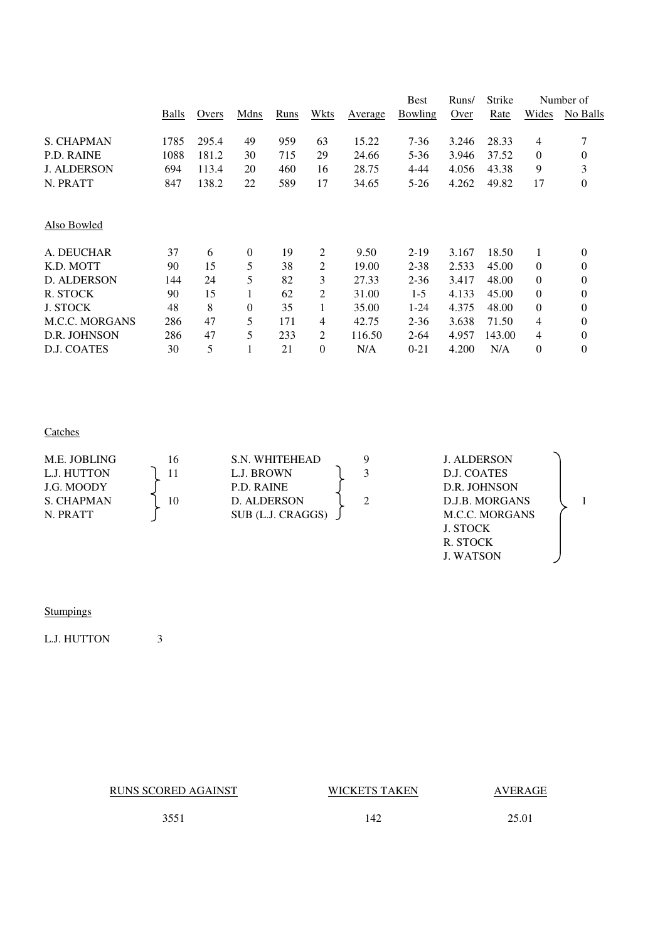|       |       |              |      |                |         | <b>Best</b>    | Runs/ | Strike |                | Number of      |
|-------|-------|--------------|------|----------------|---------|----------------|-------|--------|----------------|----------------|
| Balls | Overs | Mdns         | Runs | Wkts           | Average | <b>Bowling</b> | Over  | Rate   | Wides          | No Balls       |
| 1785  | 295.4 | 49           | 959  | 63             | 15.22   | 7-36           | 3.246 | 28.33  | 4              | 7              |
| 1088  | 181.2 | 30           | 715  | 29             | 24.66   | $5 - 36$       | 3.946 | 37.52  | $\overline{0}$ | 0              |
| 694   | 113.4 | 20           | 460  | 16             | 28.75   | $4 - 44$       | 4.056 | 43.38  | 9              | 3              |
| 847   | 138.2 | 22           | 589  | 17             | 34.65   | $5-26$         | 4.262 | 49.82  | 17             | 0              |
|       |       |              |      |                |         |                |       |        |                |                |
| 37    | 6     | $\mathbf{0}$ | 19   | 2              | 9.50    | $2-19$         | 3.167 | 18.50  | $\mathbf{1}$   | 0              |
| 90    | 15    | 5            | 38   | $\overline{2}$ | 19.00   | $2 - 38$       | 2.533 | 45.00  | 0              | 0              |
| 144   | 24    | 5            | 82   | 3              | 27.33   | $2 - 36$       | 3.417 | 48.00  | $\overline{0}$ | 0              |
| 90    | 15    | 1            | 62   | 2              | 31.00   | $1-5$          | 4.133 | 45.00  | $\overline{0}$ | 0              |
| 48    | 8     | $\Omega$     | 35   | 1              | 35.00   | $1 - 24$       | 4.375 | 48.00  | $\overline{0}$ | 0              |
| 286   | 47    | 5            | 171  | 4              | 42.75   | $2 - 36$       | 3.638 | 71.50  | 4              | 0              |
| 286   | 47    | 5            | 233  | 2              | 116.50  | $2 - 64$       | 4.957 | 143.00 | 4              | $\overline{0}$ |
| 30    | 5     |              | 21   | $\theta$       | N/A     | $0 - 21$       | 4.200 | N/A    | 0              | 0              |
|       |       |              |      |                |         |                |       |        |                |                |

### **Catches**

| M.E. JOBLING<br>L.J. HUTTON<br>J.G. MOODY<br>S. CHAPMAN<br>N. PRATT | 16<br>10 | S.N. WHITEHEAD<br>L.J. BROWN<br>P.D. RAINE<br><b>D. ALDERSON</b><br>SUB (L.J. CRAGGS) | <b>J. ALDERSON</b><br>D.J. COATES<br>D.R. JOHNSON<br>D.J.B. MORGANS<br><b>M.C.C. MORGANS</b><br>J. STOCK<br>R. STOCK |  |
|---------------------------------------------------------------------|----------|---------------------------------------------------------------------------------------|----------------------------------------------------------------------------------------------------------------------|--|
|                                                                     |          |                                                                                       | <b>J. WATSON</b>                                                                                                     |  |

# **Stumpings**

L.J. HUTTON 3

RUNS SCORED AGAINST WICKETS TAKEN AVERAGE

3551 142 25.01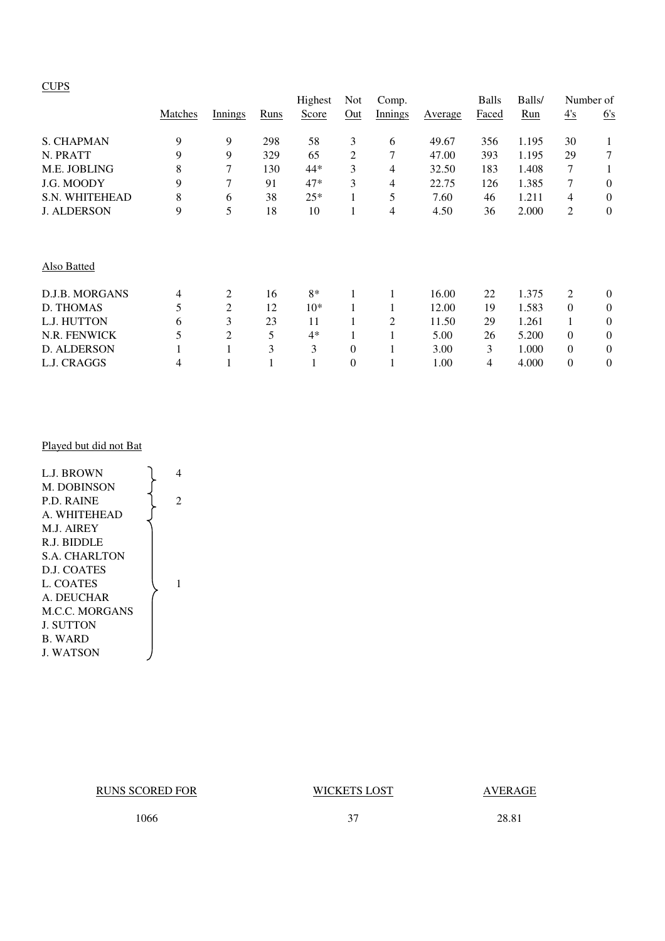### **CUPS**

|                       |         |                |      | Highest | <b>Not</b>     | Comp.   |         | <b>Balls</b> | Balls/ |                | Number of      |
|-----------------------|---------|----------------|------|---------|----------------|---------|---------|--------------|--------|----------------|----------------|
|                       | Matches | Innings        | Runs | Score   | Out            | Innings | Average | Faced        | Run    | 4's            | 6's            |
| <b>S. CHAPMAN</b>     | 9       | 9              | 298  | 58      | 3              | 6       | 49.67   | 356          | 1.195  | 30             |                |
| N. PRATT              | 9       | 9              | 329  | 65      | 2              | 7       | 47.00   | 393          | 1.195  | 29             | 7              |
| M.E. JOBLING          | 8       | 7              | 130  | 44*     | 3              | 4       | 32.50   | 183          | 1.408  | 7              |                |
| J.G. MOODY            | 9       | 7              | 91   | $47*$   | 3              | 4       | 22.75   | 126          | 1.385  | 7              | $\overline{0}$ |
| <b>S.N. WHITEHEAD</b> | 8       | 6              | 38   | $25*$   |                | 5       | 7.60    | 46           | 1.211  | $\overline{4}$ | $\overline{0}$ |
| <b>J. ALDERSON</b>    | 9       | 5              | 18   | 10      |                | 4       | 4.50    | 36           | 2.000  | 2              | $\overline{0}$ |
| Also Batted           |         |                |      |         |                |         |         |              |        |                |                |
| D.J.B. MORGANS        | 4       | 2              | 16   | $8*$    |                |         | 16.00   | 22           | 1.375  | 2              | $\overline{0}$ |
| <b>D. THOMAS</b>      | 5       | $\overline{2}$ | 12   | $10*$   |                |         | 12.00   | 19           | 1.583  | $\Omega$       | $\theta$       |
| L.J. HUTTON           | 6       | 3              | 23   | 11      | 1              | 2       | 11.50   | 29           | 1.261  |                | $\Omega$       |
| N.R. FENWICK          | 5       | $\overline{c}$ | 5    | $4*$    |                |         | 5.00    | 26           | 5.200  | $\theta$       | $\overline{0}$ |
| <b>D. ALDERSON</b>    |         |                | 3    | 3       | $\overline{0}$ |         | 3.00    | 3            | 1.000  | $\Omega$       | $\theta$       |
| L.J. CRAGGS           | 4       |                |      |         | 0              |         | 1.00    | 4            | 4.000  | $\theta$       | $\theta$       |

### Played but did not Bat

L.J. BROWN  $\bigcup_{i=1}^{n}$  4 M. DOBINSON P.D. RAINE  $\begin{bmatrix} 2 \end{bmatrix}$ A. WHITEHEAD M.J. AIREY R.J. BIDDLE S.A. CHARLTON D.J. COATES  $L. COATES$   $1$ A. DEUCHAR M.C.C. MORGANS J. SUTTON B. WARD J. WATSON

### RUNS SCORED FOR WICKETS LOST AVERAGE

1066 37 28.81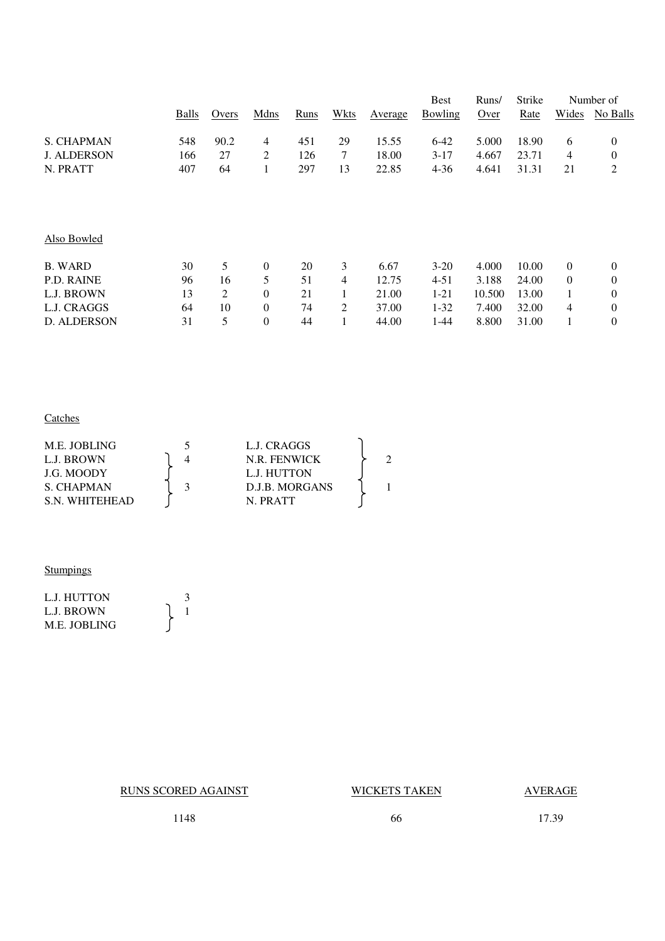|       |       |                  |      |      |         | <b>Best</b> | Runs/  | <b>Strike</b> |                | Number of        |
|-------|-------|------------------|------|------|---------|-------------|--------|---------------|----------------|------------------|
| Balls | Overs | Mdns             | Runs | Wkts | Average | Bowling     | Over   | Rate          | Wides          | No Balls         |
| 548   | 90.2  | 4                | 451  | 29   | 15.55   | $6 - 42$    | 5.000  | 18.90         | 6              | $\boldsymbol{0}$ |
| 166   | 27    | 2                | 126  | 7    | 18.00   | $3-17$      | 4.667  | 23.71         | 4              | $\boldsymbol{0}$ |
| 407   | 64    | 1                | 297  | 13   | 22.85   | $4 - 36$    | 4.641  | 31.31         | 21             | $\overline{c}$   |
|       |       |                  |      |      |         |             |        |               |                |                  |
|       |       |                  |      |      |         |             |        |               |                |                  |
| 30    | 5     | $\mathbf{0}$     | 20   | 3    | 6.67    | $3-20$      | 4.000  | 10.00         | $\overline{0}$ | $\overline{0}$   |
| 96    | 16    | 5                | 51   | 4    | 12.75   | 4-51        | 3.188  | 24.00         | $\overline{0}$ | $\boldsymbol{0}$ |
| 13    | 2     | $\boldsymbol{0}$ | 21   | 1    | 21.00   | $1 - 21$    | 10.500 | 13.00         |                | $\boldsymbol{0}$ |
| 64    | 10    | $\boldsymbol{0}$ | 74   | 2    | 37.00   | $1 - 32$    | 7.400  | 32.00         | 4              | $\boldsymbol{0}$ |
| 31    | 5     | $\boldsymbol{0}$ | 44   |      | 44.00   | 1-44        | 8.800  | 31.00         |                | $\boldsymbol{0}$ |
|       |       |                  |      |      |         |             |        |               |                |                  |

### **Catches**

| M.E. JOBLING  | L.J. CRAGGS         |  |  |
|---------------|---------------------|--|--|
| L.J. BROWN    | <b>N.R. FENWICK</b> |  |  |
| J.G. MOODY    | L.J. HUTTON         |  |  |
| S. CHAPMAN    | D.J.B. MORGANS      |  |  |
| S N WHITEHEAD | N PRATT             |  |  |

### **Stumpings**

| L.J. HUTTON  |  |
|--------------|--|
| L.J. BROWN   |  |
| M.E. JOBLING |  |

RUNS SCORED AGAINST WICKETS TAKEN AVERAGE

1148 66 17.39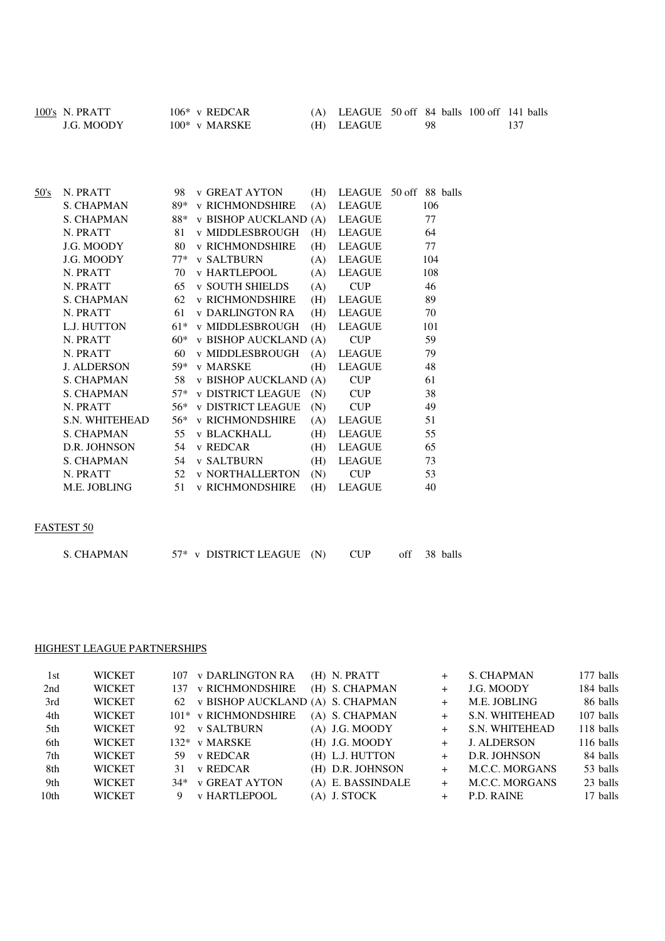| 100's N. PRATT | $106*$ v REDCAR  | $(A)$ LEAGUE 50 off 84 balls 100 off 141 balls |     |  |
|----------------|------------------|------------------------------------------------|-----|--|
| J.G. MOODY     | $100^*$ v MARSKE | (H) LEAGUE                                     | -98 |  |

| 50's | N. PRATT           | 98    | <b>v GREAT AYTON</b>     | (H) |               | LEAGUE 50 off 88 balls |
|------|--------------------|-------|--------------------------|-----|---------------|------------------------|
|      | <b>S. CHAPMAN</b>  | 89*   | <b>v RICHMONDSHIRE</b>   | (A) | <b>LEAGUE</b> | 106                    |
|      | S. CHAPMAN         | 88*   | v BISHOP AUCKLAND (A)    |     | LEAGUE        | 77                     |
|      | N. PRATT           | 81    | v MIDDLESBROUGH          | (H) | LEAGUE        | 64                     |
|      | J.G. MOODY         | 80    | <b>v RICHMONDSHIRE</b>   | (H) | LEAGUE        | 77                     |
|      | J.G. MOODY         | $77*$ | v SALTBURN               | (A) | LEAGUE        | 104                    |
|      | N. PRATT           | 70    | <b>v HARTLEPOOL</b>      | (A) | LEAGUE        | 108                    |
|      | N. PRATT           | 65    | <b>v SOUTH SHIELDS</b>   | (A) | <b>CUP</b>    | 46                     |
|      | <b>S. CHAPMAN</b>  | 62    | <b>v RICHMONDSHIRE</b>   | (H) | LEAGUE        | 89                     |
|      | N. PRATT           | 61    | v DARLINGTON RA          | (H) | LEAGUE        | 70                     |
|      | L.J. HUTTON        | $61*$ | v MIDDLESBROUGH          | (H) | LEAGUE        | 101                    |
|      | N. PRATT           | $60*$ | v BISHOP AUCKLAND (A)    |     | <b>CUP</b>    | 59                     |
|      | N. PRATT           | 60    | v MIDDLESBROUGH          | (A) | LEAGUE        | 79                     |
|      | <b>J. ALDERSON</b> | 59*   | v MARSKE                 | (H) | <b>LEAGUE</b> | 48                     |
|      | S. CHAPMAN         | 58    | v BISHOP AUCKLAND (A)    |     | <b>CUP</b>    | 61                     |
|      | S. CHAPMAN         | $57*$ | <b>v DISTRICT LEAGUE</b> | (N) | <b>CUP</b>    | 38                     |
|      | N. PRATT           | 56*   | <b>v DISTRICT LEAGUE</b> | (N) | <b>CUP</b>    | 49                     |
|      | S.N. WHITEHEAD     | 56*   | v RICHMONDSHIRE          | (A) | <b>LEAGUE</b> | 51                     |
|      | S. CHAPMAN         | 55    | <b>v BLACKHALL</b>       | (H) | <b>LEAGUE</b> | 55                     |
|      | D.R. JOHNSON       | 54    | v REDCAR                 | (H) | LEAGUE        | 65                     |
|      | S. CHAPMAN         | 54    | <b>v SALTBURN</b>        | (H) | LEAGUE        | 73                     |
|      | N. PRATT           | 52    | <b>v NORTHALLERTON</b>   | (N) | <b>CUP</b>    | 53                     |
|      | M.E. JOBLING       | 51    | <b>v RICHMONDSHIRE</b>   | (H) | LEAGUE        | 40                     |
|      |                    |       |                          |     |               |                        |

### FASTEST 50

| S. CHAPMAN |  | $57*$ v DISTRICT LEAGUE (N) |  | CUP |  | off 38 balls |
|------------|--|-----------------------------|--|-----|--|--------------|
|------------|--|-----------------------------|--|-----|--|--------------|

### HIGHEST LEAGUE PARTNERSHIPS

| 1st              | <b>WICKET</b> |    | 107 v DARLINGTON RA                 | $(H)$ N. PRATT    |        | S. CHAPMAN            | 177 balls |
|------------------|---------------|----|-------------------------------------|-------------------|--------|-----------------------|-----------|
| 2nd              | <b>WICKET</b> |    | 137 v RICHMONDSHIRE                 | (H) S. CHAPMAN    | $+$    | J.G. MOODY            | 184 balls |
| 3rd              | <b>WICKET</b> |    | 62 v BISHOP AUCKLAND (A) S. CHAPMAN |                   | $+$    | M.E. JOBLING          | 86 balls  |
| 4th              | <b>WICKET</b> |    | 101* v RICHMONDSHIRE                | (A) S. CHAPMAN    | $+$    | S.N. WHITEHEAD        | 107 balls |
| 5th              | <b>WICKET</b> |    | 92 v SALTBURN                       | $(A)$ J.G. MOODY  | $+$    | S.N. WHITEHEAD        | 118 balls |
| 6th              | <b>WICKET</b> |    | 132* v MARSKE                       | $(H)$ J.G. MOODY  |        | <b>J. ALDERSON</b>    | 116 balls |
| 7th              | <b>WICKET</b> |    | 59 v REDCAR                         | (H) L.J. HUTTON   |        | D.R. JOHNSON          | 84 balls  |
| 8th              | <b>WICKET</b> | 31 | v REDCAR                            | (H) D.R. JOHNSON  | $+$    | <b>M.C.C. MORGANS</b> | 53 balls  |
| 9th              | <b>WICKET</b> |    | 34* v GREAT AYTON                   | (A) E. BASSINDALE | $^{+}$ | <b>M.C.C. MORGANS</b> | 23 balls  |
| 10 <sub>th</sub> | <b>WICKET</b> |    | <b>v HARTLEPOOL</b>                 | (A) J. STOCK      |        | P.D. RAINE            | 17 balls  |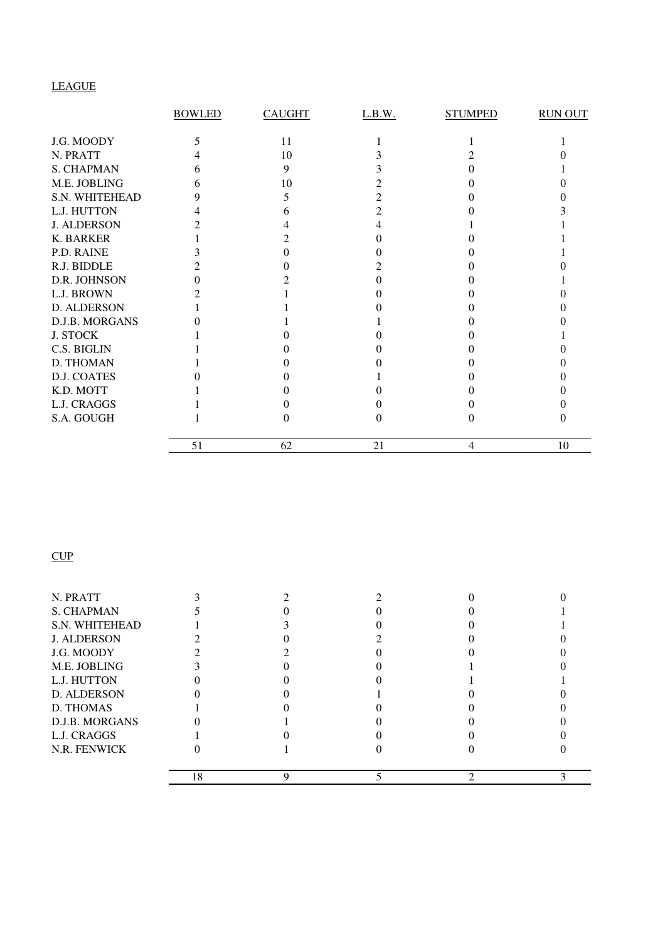# LEAGUE

|                    | <b>BOWLED</b> | <b>CAUGHT</b> | L.B.W. | <b>STUMPED</b> | <b>RUN OUT</b> |
|--------------------|---------------|---------------|--------|----------------|----------------|
|                    |               |               |        |                |                |
| J.G. MOODY         |               | 11            |        |                |                |
| N. PRATT           |               | 10            |        |                |                |
| S. CHAPMAN         | h             | 9             |        |                |                |
| M.E. JOBLING       | h             | 10            |        |                |                |
| S.N. WHITEHEAD     | 9             |               |        |                |                |
| L.J. HUTTON        |               |               |        |                |                |
| <b>J. ALDERSON</b> |               |               |        |                |                |
| <b>K. BARKER</b>   |               |               |        |                |                |
| P.D. RAINE         |               |               |        |                |                |
| R.J. BIDDLE        |               |               |        |                |                |
| D.R. JOHNSON       |               |               |        |                |                |
| L.J. BROWN         |               |               |        |                |                |
| D. ALDERSON        |               |               |        |                |                |
| D.J.B. MORGANS     |               |               |        |                |                |
| <b>J. STOCK</b>    |               |               |        |                |                |
| C.S. BIGLIN        |               |               |        |                |                |
| D. THOMAN          |               |               |        |                |                |
| <b>D.J. COATES</b> |               |               |        |                |                |
| K.D. MOTT          |               |               |        |                |                |
| L.J. CRAGGS        |               |               |        |                |                |
| S.A. GOUGH         |               |               | 0      |                |                |
|                    | 51            | 62            | 21     | 4              | 10             |

# $CUP$

| N. PRATT              |    |  |  |
|-----------------------|----|--|--|
| <b>S. CHAPMAN</b>     |    |  |  |
| <b>S.N. WHITEHEAD</b> |    |  |  |
| <b>J. ALDERSON</b>    |    |  |  |
| J.G. MOODY            |    |  |  |
| M.E. JOBLING          |    |  |  |
| L.J. HUTTON           |    |  |  |
| D. ALDERSON           |    |  |  |
| D. THOMAS             |    |  |  |
| D.J.B. MORGANS        |    |  |  |
| L.J. CRAGGS           |    |  |  |
| N.R. FENWICK          |    |  |  |
|                       | 18 |  |  |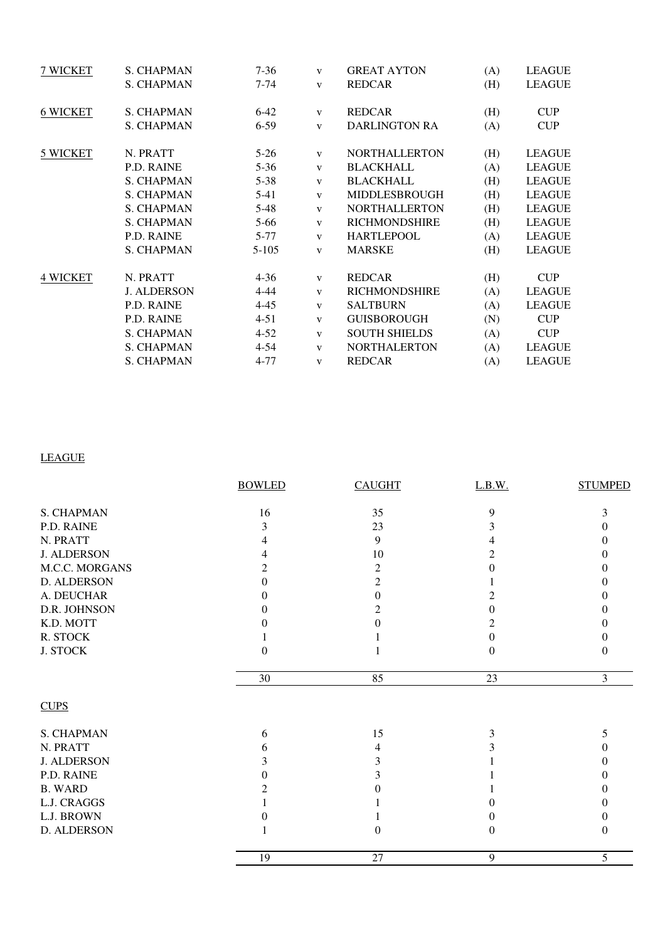| 7 WICKET        | <b>S. CHAPMAN</b>  | $7-36$   | $\mathbf{V}$            | <b>GREAT AYTON</b>   | (A) | <b>LEAGUE</b> |
|-----------------|--------------------|----------|-------------------------|----------------------|-----|---------------|
|                 | <b>S. CHAPMAN</b>  | $7 - 74$ | $\mathbf{V}$            | <b>REDCAR</b>        | (H) | <b>LEAGUE</b> |
| <b>6 WICKET</b> | <b>S. CHAPMAN</b>  | $6-42$   | V                       | <b>REDCAR</b>        | (H) | <b>CUP</b>    |
|                 | <b>S. CHAPMAN</b>  | $6 - 59$ | $\mathbf{V}$            | <b>DARLINGTON RA</b> | (A) | <b>CUP</b>    |
| 5 WICKET        | N. PRATT           | $5-26$   | V                       | <b>NORTHALLERTON</b> | (H) | <b>LEAGUE</b> |
|                 | P.D. RAINE         | $5 - 36$ | $\mathbf{V}$            | <b>BLACKHALL</b>     | (A) | <b>LEAGUE</b> |
|                 | <b>S. CHAPMAN</b>  | $5 - 38$ | $\mathbf{V}$            | <b>BLACKHALL</b>     | (H) | <b>LEAGUE</b> |
|                 | <b>S. CHAPMAN</b>  | $5 - 41$ | $\mathbf{V}$            | <b>MIDDLESBROUGH</b> | (H) | <b>LEAGUE</b> |
|                 | <b>S. CHAPMAN</b>  | $5 - 48$ | $\mathbf{V}$            | <b>NORTHALLERTON</b> | (H) | <b>LEAGUE</b> |
|                 | <b>S. CHAPMAN</b>  | $5 - 66$ | $\mathbf{V}$            | <b>RICHMONDSHIRE</b> | (H) | <b>LEAGUE</b> |
|                 | P.D. RAINE         | $5 - 77$ | $\mathbf{V}$            | <b>HARTLEPOOL</b>    | (A) | <b>LEAGUE</b> |
|                 | <b>S. CHAPMAN</b>  | $5-105$  | $\overline{\mathbf{V}}$ | <b>MARSKE</b>        | (H) | <b>LEAGUE</b> |
| <b>4 WICKET</b> | N. PRATT           | $4 - 36$ | V                       | <b>REDCAR</b>        | (H) | <b>CUP</b>    |
|                 | <b>J. ALDERSON</b> | $4 - 44$ | $\mathbf{V}$            | <b>RICHMONDSHIRE</b> | (A) | <b>LEAGUE</b> |
|                 | P.D. RAINE         | $4 - 45$ | $\mathbf{V}$            | <b>SALTBURN</b>      | (A) | <b>LEAGUE</b> |
|                 | P.D. RAINE         | $4 - 51$ | $\mathbf{V}$            | <b>GUISBOROUGH</b>   | (N) | <b>CUP</b>    |
|                 | <b>S. CHAPMAN</b>  | $4 - 52$ | $\mathbf{V}$            | <b>SOUTH SHIELDS</b> | (A) | <b>CUP</b>    |
|                 | <b>S. CHAPMAN</b>  | $4 - 54$ | $\mathbf{V}$            | <b>NORTHALERTON</b>  | (A) | <b>LEAGUE</b> |
|                 | <b>S. CHAPMAN</b>  | $4 - 77$ | $\mathbf{V}$            | <b>REDCAR</b>        | (A) | <b>LEAGUE</b> |
|                 |                    |          |                         |                      |     |               |

# LEAGUE

|                       | <b>BOWLED</b> | <b>CAUGHT</b> | L.B.W.         | <b>STUMPED</b> |
|-----------------------|---------------|---------------|----------------|----------------|
| <b>S. CHAPMAN</b>     | 16            | 35            | 9              | 3              |
| P.D. RAINE            | 3             | 23            | 3              |                |
| N. PRATT              |               | 9             | 4              |                |
| <b>J. ALDERSON</b>    |               | 10            | $\overline{c}$ | 0              |
| <b>M.C.C. MORGANS</b> | 2             | 2             | 0              |                |
| D. ALDERSON           | 0             | 2             |                |                |
| A. DEUCHAR            | 0             | 0             | 2              |                |
| D.R. JOHNSON          | 0             | 2             | 0              |                |
| K.D. MOTT             |               |               | 2              |                |
| R. STOCK              |               |               | $\theta$       |                |
| <b>J. STOCK</b>       | 0             |               | 0              | 0              |
|                       | $30\,$        | 85            | 23             | 3              |
| <b>CUPS</b>           |               |               |                |                |
| <b>S. CHAPMAN</b>     | 6             | 15            | 3              | 5              |
| N. PRATT              | 6             | 4             | 3              |                |
| <b>J. ALDERSON</b>    | 3             | 3             |                |                |
| P.D. RAINE            | 0             | 3             |                |                |
| <b>B. WARD</b>        |               |               |                |                |
| L.J. CRAGGS           |               |               | $\Omega$       |                |
| L.J. BROWN            |               |               | 0              |                |
| D. ALDERSON           |               | $\Omega$      | $\Omega$       | $\Omega$       |
|                       | 19            | 27            | 9              | 5              |